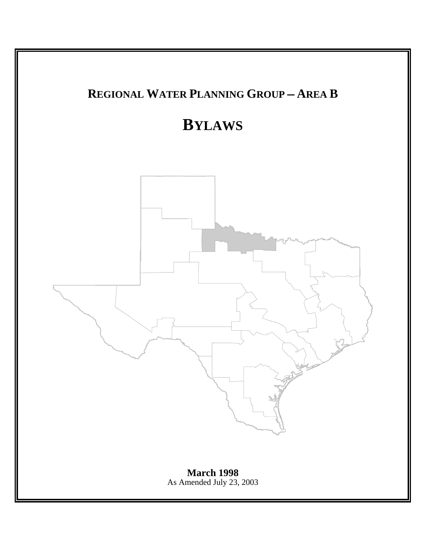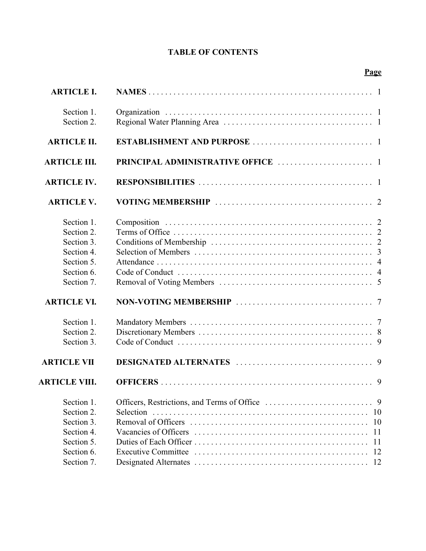# **TABLE OF CONTENTS**

|--|

| <b>ARTICLE I.</b>                                                                              |                                   |
|------------------------------------------------------------------------------------------------|-----------------------------------|
| Section 1.<br>Section 2.                                                                       |                                   |
| <b>ARTICLE II.</b>                                                                             |                                   |
| <b>ARTICLE III.</b>                                                                            |                                   |
| <b>ARTICLE IV.</b>                                                                             |                                   |
| <b>ARTICLE V.</b>                                                                              |                                   |
| Section 1.<br>Section 2.<br>Section 3.<br>Section 4.<br>Section 5.<br>Section 6.<br>Section 7. |                                   |
| <b>ARTICLE VI.</b>                                                                             |                                   |
| Section 1.<br>Section 2.<br>Section 3.<br><b>ARTICLE VII</b>                                   |                                   |
| <b>ARTICLE VIII.</b>                                                                           |                                   |
| Section 1.<br>Section 2.<br>Section 3.<br>Section 4.<br>Section 5.<br>Section 6.               | <b>10</b><br>10<br>11<br>11<br>12 |
| Section 7.                                                                                     |                                   |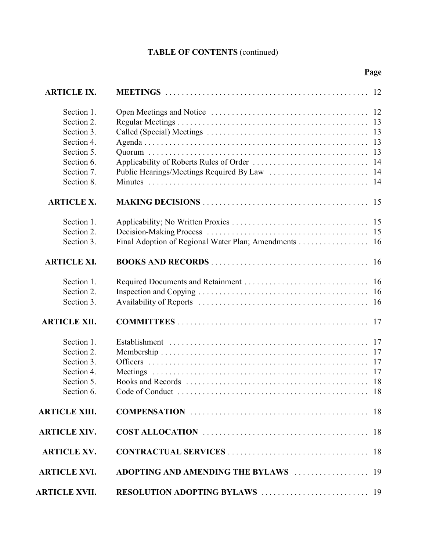# **TABLE OF CONTENTS** (continued)

| <b>ARTICLE IX.</b>   |                                                       |    |
|----------------------|-------------------------------------------------------|----|
| Section 1.           |                                                       |    |
| Section 2.           |                                                       |    |
| Section 3.           |                                                       |    |
| Section 4.           |                                                       |    |
| Section 5.           |                                                       | 13 |
| Section 6.           |                                                       | 14 |
| Section 7.           |                                                       |    |
| Section 8.           |                                                       |    |
| <b>ARTICLE X.</b>    |                                                       |    |
| Section 1.           |                                                       |    |
| Section 2.           |                                                       |    |
| Section 3.           | Final Adoption of Regional Water Plan; Amendments  16 |    |
| <b>ARTICLE XI.</b>   |                                                       |    |
| Section 1.           |                                                       |    |
| Section 2.           |                                                       |    |
| Section 3.           |                                                       |    |
| <b>ARTICLE XII.</b>  |                                                       |    |
| Section 1.           |                                                       |    |
| Section 2.           |                                                       | 17 |
| Section 3.           |                                                       |    |
| Section 4.           |                                                       |    |
| Section 5.           |                                                       |    |
| Section 6            | Code of Conduct                                       |    |
| <b>ARTICLE XIII.</b> |                                                       |    |
| <b>ARTICLE XIV.</b>  |                                                       |    |
| <b>ARTICLE XV.</b>   |                                                       |    |
| <b>ARTICLE XVI.</b>  | ADOPTING AND AMENDING THE BYLAWS  19                  |    |
| <b>ARTICLE XVII.</b> |                                                       |    |

# **Page**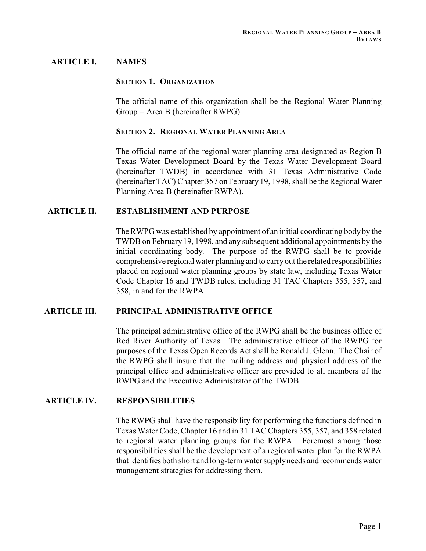# **ARTICLE I. NAMES**

### **SECTION 1. ORGANIZATION**

The official name of this organization shall be the Regional Water Planning Group – Area B (hereinafter RWPG).

#### **SECTION 2. REGIONAL WATER PLANNING AREA**

The official name of the regional water planning area designated as Region B Texas Water Development Board by the Texas Water Development Board (hereinafter TWDB) in accordance with 31 Texas Administrative Code (hereinafter TAC) Chapter 357 on February 19, 1998, shall be the Regional Water Planning Area B (hereinafter RWPA).

# **ARTICLE II. ESTABLISHMENT AND PURPOSE**

The RWPG was established by appointment of an initial coordinating body by the TWDB on February 19, 1998, and any subsequent additional appointments by the initial coordinating body. The purpose of the RWPG shall be to provide comprehensive regional water planning and to carry out the related responsibilities placed on regional water planning groups by state law, including Texas Water Code Chapter 16 and TWDB rules, including 31 TAC Chapters 355, 357, and 358, in and for the RWPA.

# **ARTICLE III. PRINCIPAL ADMINISTRATIVE OFFICE**

The principal administrative office of the RWPG shall be the business office of Red River Authority of Texas. The administrative officer of the RWPG for purposes of the Texas Open Records Act shall be Ronald J. Glenn. The Chair of the RWPG shall insure that the mailing address and physical address of the principal office and administrative officer are provided to all members of the RWPG and the Executive Administrator of the TWDB.

# **ARTICLE IV. RESPONSIBILITIES**

The RWPG shall have the responsibility for performing the functions defined in Texas Water Code, Chapter 16 and in 31 TAC Chapters 355, 357, and 358 related to regional water planning groups for the RWPA. Foremost among those responsibilities shall be the development of a regional water plan for the RWPA that identifies both short and long-term water supply needs and recommends water management strategies for addressing them.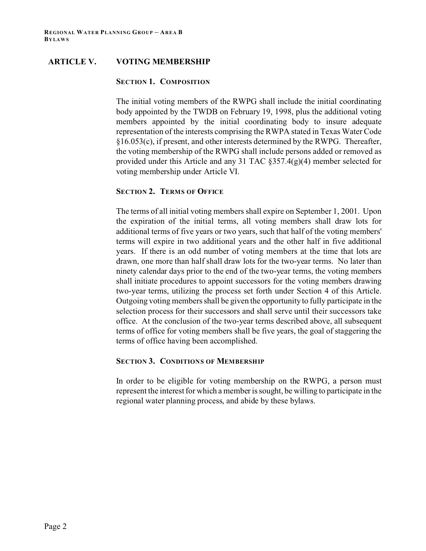# **ARTICLE V. VOTING MEMBERSHIP**

### **SECTION 1. COMPOSITION**

The initial voting members of the RWPG shall include the initial coordinating body appointed by the TWDB on February 19, 1998, plus the additional voting members appointed by the initial coordinating body to insure adequate representation of the interests comprising the RWPA stated in Texas Water Code §16.053(c), if present, and other interests determined by the RWPG. Thereafter, the voting membership of the RWPG shall include persons added or removed as provided under this Article and any 31 TAC §357.4(g)(4) member selected for voting membership under Article VI.

# **SECTION 2. TERMS OF OFFICE**

The terms of all initial voting members shall expire on September 1, 2001. Upon the expiration of the initial terms, all voting members shall draw lots for additional terms of five years or two years, such that half of the voting members' terms will expire in two additional years and the other half in five additional years. If there is an odd number of voting members at the time that lots are drawn, one more than half shall draw lots for the two-year terms. No later than ninety calendar days prior to the end of the two-year terms, the voting members shall initiate procedures to appoint successors for the voting members drawing two-year terms, utilizing the process set forth under Section 4 of this Article. Outgoing voting members shall be given the opportunity to fully participate in the selection process for their successors and shall serve until their successors take office. At the conclusion of the two-year terms described above, all subsequent terms of office for voting members shall be five years, the goal of staggering the terms of office having been accomplished.

# **SECTION 3. CONDITIONS OF MEMBERSHIP**

In order to be eligible for voting membership on the RWPG, a person must represent the interest for which a member is sought, be willing to participate in the regional water planning process, and abide by these bylaws.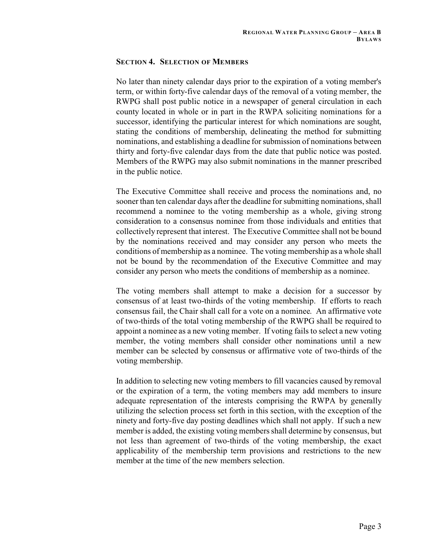### **SECTION 4. SELECTION OF MEMBERS**

No later than ninety calendar days prior to the expiration of a voting member's term, or within forty-five calendar days of the removal of a voting member, the RWPG shall post public notice in a newspaper of general circulation in each county located in whole or in part in the RWPA soliciting nominations for a successor, identifying the particular interest for which nominations are sought, stating the conditions of membership, delineating the method for submitting nominations, and establishing a deadline for submission of nominations between thirty and forty-five calendar days from the date that public notice was posted. Members of the RWPG may also submit nominations in the manner prescribed in the public notice.

The Executive Committee shall receive and process the nominations and, no sooner than ten calendar days after the deadline for submitting nominations, shall recommend a nominee to the voting membership as a whole, giving strong consideration to a consensus nominee from those individuals and entities that collectively represent that interest. The Executive Committee shall not be bound by the nominations received and may consider any person who meets the conditions of membership as a nominee. The voting membership as a whole shall not be bound by the recommendation of the Executive Committee and may consider any person who meets the conditions of membership as a nominee.

The voting members shall attempt to make a decision for a successor by consensus of at least two-thirds of the voting membership. If efforts to reach consensus fail, the Chair shall call for a vote on a nominee. An affirmative vote of two-thirds of the total voting membership of the RWPG shall be required to appoint a nominee as a new voting member. If voting fails to select a new voting member, the voting members shall consider other nominations until a new member can be selected by consensus or affirmative vote of two-thirds of the voting membership.

In addition to selecting new voting members to fill vacancies caused by removal or the expiration of a term, the voting members may add members to insure adequate representation of the interests comprising the RWPA by generally utilizing the selection process set forth in this section, with the exception of the ninety and forty-five day posting deadlines which shall not apply. If such a new member is added, the existing voting members shall determine by consensus, but not less than agreement of two-thirds of the voting membership, the exact applicability of the membership term provisions and restrictions to the new member at the time of the new members selection.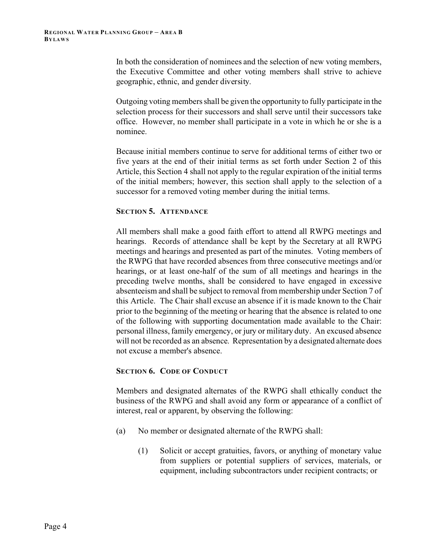In both the consideration of nominees and the selection of new voting members, the Executive Committee and other voting members shall strive to achieve geographic, ethnic, and gender diversity.

Outgoing voting members shall be given the opportunity to fully participate in the selection process for their successors and shall serve until their successors take office. However, no member shall participate in a vote in which he or she is a nominee.

Because initial members continue to serve for additional terms of either two or five years at the end of their initial terms as set forth under Section 2 of this Article, this Section 4 shall not apply to the regular expiration of the initial terms of the initial members; however, this section shall apply to the selection of a successor for a removed voting member during the initial terms.

# **SECTION 5. ATTENDANCE**

All members shall make a good faith effort to attend all RWPG meetings and hearings. Records of attendance shall be kept by the Secretary at all RWPG meetings and hearings and presented as part of the minutes. Voting members of the RWPG that have recorded absences from three consecutive meetings and/or hearings, or at least one-half of the sum of all meetings and hearings in the preceding twelve months, shall be considered to have engaged in excessive absenteeism and shall be subject to removal from membership under Section 7 of this Article. The Chair shall excuse an absence if it is made known to the Chair prior to the beginning of the meeting or hearing that the absence is related to one of the following with supporting documentation made available to the Chair: personal illness, family emergency, or jury or military duty. An excused absence will not be recorded as an absence. Representation by a designated alternate does not excuse a member's absence.

# **SECTION 6. CODE OF CONDUCT**

Members and designated alternates of the RWPG shall ethically conduct the business of the RWPG and shall avoid any form or appearance of a conflict of interest, real or apparent, by observing the following:

- (a) No member or designated alternate of the RWPG shall:
	- (1) Solicit or accept gratuities, favors, or anything of monetary value from suppliers or potential suppliers of services, materials, or equipment, including subcontractors under recipient contracts; or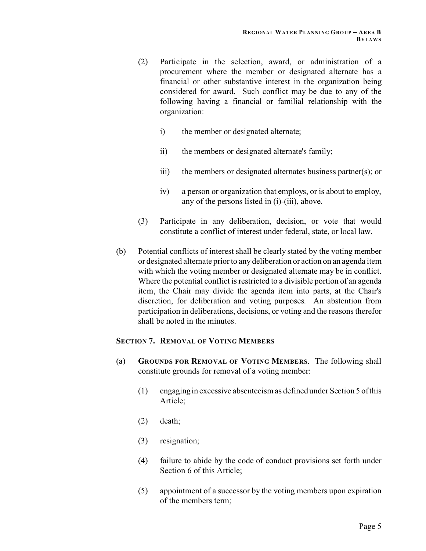- (2) Participate in the selection, award, or administration of a procurement where the member or designated alternate has a financial or other substantive interest in the organization being considered for award. Such conflict may be due to any of the following having a financial or familial relationship with the organization:
	- i) the member or designated alternate;
	- ii) the members or designated alternate's family;
	- iii) the members or designated alternates business partner(s); or
	- iv) a person or organization that employs, or is about to employ, any of the persons listed in (i)-(iii), above.
- (3) Participate in any deliberation, decision, or vote that would constitute a conflict of interest under federal, state, or local law.
- (b) Potential conflicts of interest shall be clearly stated by the voting member or designated alternate prior to any deliberation or action on an agenda item with which the voting member or designated alternate may be in conflict. Where the potential conflict is restricted to a divisible portion of an agenda item, the Chair may divide the agenda item into parts, at the Chair's discretion, for deliberation and voting purposes. An abstention from participation in deliberations, decisions, or voting and the reasons therefor shall be noted in the minutes.

# **SECTION 7. REMOVAL OF VOTING MEMBERS**

- (a) **GROUNDS FOR REMOVAL OF VOTING MEMBERS**. The following shall constitute grounds for removal of a voting member:
	- (1) engaging in excessive absenteeism as defined under Section 5 of this Article;
	- (2) death;
	- (3) resignation;
	- (4) failure to abide by the code of conduct provisions set forth under Section 6 of this Article;
	- (5) appointment of a successor by the voting members upon expiration of the members term;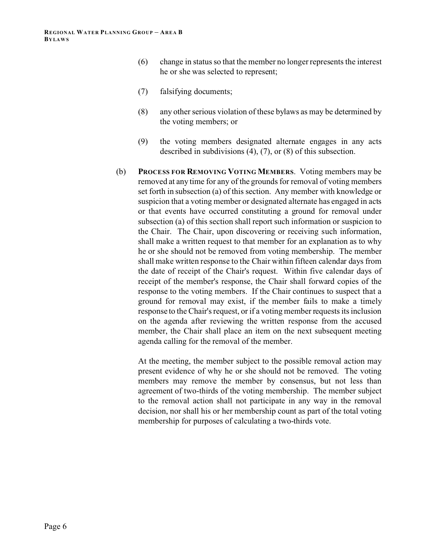- (6) change in status so that the member no longer represents the interest he or she was selected to represent;
- (7) falsifying documents;
- (8) any other serious violation of these bylaws as may be determined by the voting members; or
- (9) the voting members designated alternate engages in any acts described in subdivisions (4), (7), or (8) of this subsection.
- (b) **PROCESS FOR REMOVING VOTING MEMBERS**. Voting members may be removed at any time for any of the grounds for removal of voting members set forth in subsection (a) of this section. Any member with knowledge or suspicion that a voting member or designated alternate has engaged in acts or that events have occurred constituting a ground for removal under subsection (a) of this section shall report such information or suspicion to the Chair. The Chair, upon discovering or receiving such information, shall make a written request to that member for an explanation as to why he or she should not be removed from voting membership. The member shall make written response to the Chair within fifteen calendar days from the date of receipt of the Chair's request. Within five calendar days of receipt of the member's response, the Chair shall forward copies of the response to the voting members. If the Chair continues to suspect that a ground for removal may exist, if the member fails to make a timely response to the Chair's request, or if a voting member requests its inclusion on the agenda after reviewing the written response from the accused member, the Chair shall place an item on the next subsequent meeting agenda calling for the removal of the member.

At the meeting, the member subject to the possible removal action may present evidence of why he or she should not be removed. The voting members may remove the member by consensus, but not less than agreement of two-thirds of the voting membership. The member subject to the removal action shall not participate in any way in the removal decision, nor shall his or her membership count as part of the total voting membership for purposes of calculating a two-thirds vote.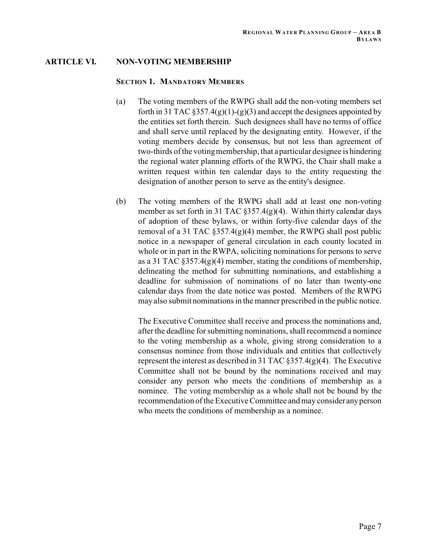# **ARTICLE VI. NON-VOTING MEMBERSHIP**

### **SECTION 1. MANDATORY MEMBERS**

- (a) The voting members of the RWPG shall add the non-voting members set forth in 31 TAC  $\S 357.4(g)(1)-(g)(3)$  and accept the designees appointed by the entities set forth therein. Such designees shall have no terms of office and shall serve until replaced by the designating entity. However, if the voting members decide by consensus, but not less than agreement of two-thirds of the voting membership, that a particular designee is hindering the regional water planning efforts of the RWPG, the Chair shall make a written request within ten calendar days to the entity requesting the designation of another person to serve as the entity's designee.
- (b) The voting members of the RWPG shall add at least one non-voting member as set forth in 31 TAC  $\S 357.4(g)(4)$ . Within thirty calendar days of adoption of these bylaws, or within forty-five calendar days of the removal of a 31 TAC §357.4(g)(4) member, the RWPG shall post public notice in a newspaper of general circulation in each county located in whole or in part in the RWPA, soliciting nominations for persons to serve as a 31 TAC  $\S 357.4(g)(4)$  member, stating the conditions of membership, delineating the method for submitting nominations, and establishing a deadline for submission of nominations of no later than twenty-one calendar days from the date notice was posted. Members of the RWPG may also submit nominations in the manner prescribed in the public notice.

The Executive Committee shall receive and process the nominations and, after the deadline for submitting nominations, shall recommend a nominee to the voting membership as a whole, giving strong consideration to a consensus nominee from those individuals and entities that collectively represent the interest as described in 31 TAC  $\S 357.4(g)(4)$ . The Executive Committee shall not be bound by the nominations received and may consider any person who meets the conditions of membership as a nominee. The voting membership as a whole shall not be bound by the recommendation of the Executive Committee and may consider any person who meets the conditions of membership as a nominee.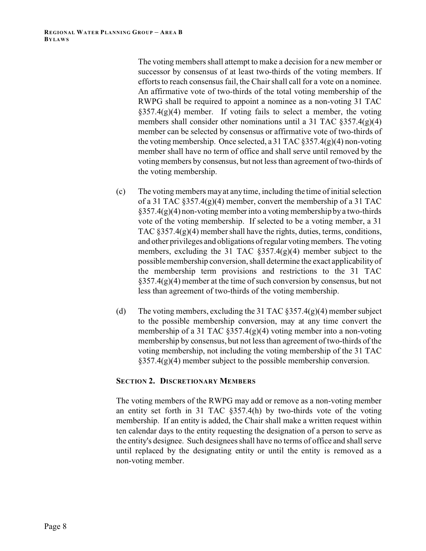The voting members shall attempt to make a decision for a new member or successor by consensus of at least two-thirds of the voting members. If efforts to reach consensus fail, the Chair shall call for a vote on a nominee. An affirmative vote of two-thirds of the total voting membership of the RWPG shall be required to appoint a nominee as a non-voting 31 TAC  $\S 357.4(g)(4)$  member. If voting fails to select a member, the voting members shall consider other nominations until a 31 TAC §357.4(g)(4) member can be selected by consensus or affirmative vote of two-thirds of the voting membership. Once selected, a 31 TAC §357.4(g)(4) non-voting member shall have no term of office and shall serve until removed by the voting members by consensus, but not less than agreement of two-thirds of the voting membership.

- (c) The voting members may at any time, including the time of initial selection of a 31 TAC §357.4(g)(4) member, convert the membership of a 31 TAC  $§357.4(g)(4)$  non-voting member into a voting membership by a two-thirds vote of the voting membership. If selected to be a voting member, a 31 TAC  $\S 357.4(g)(4)$  member shall have the rights, duties, terms, conditions, and other privileges and obligations of regular voting members. The voting members, excluding the 31 TAC  $\S 357.4(g)(4)$  member subject to the possible membership conversion, shall determine the exact applicability of the membership term provisions and restrictions to the 31 TAC  $§357.4(g)(4)$  member at the time of such conversion by consensus, but not less than agreement of two-thirds of the voting membership.
- (d) The voting members, excluding the 31 TAC  $\S 357.4(g)(4)$  member subject to the possible membership conversion, may at any time convert the membership of a 31 TAC  $\S 357.4(g)(4)$  voting member into a non-voting membership by consensus, but not less than agreement of two-thirds of the voting membership, not including the voting membership of the 31 TAC  $§357.4(g)(4)$  member subject to the possible membership conversion.

# **SECTION 2. DISCRETIONARY MEMBERS**

The voting members of the RWPG may add or remove as a non-voting member an entity set forth in 31 TAC §357.4(h) by two-thirds vote of the voting membership. If an entity is added, the Chair shall make a written request within ten calendar days to the entity requesting the designation of a person to serve as the entity's designee. Such designees shall have no terms of office and shall serve until replaced by the designating entity or until the entity is removed as a non-voting member.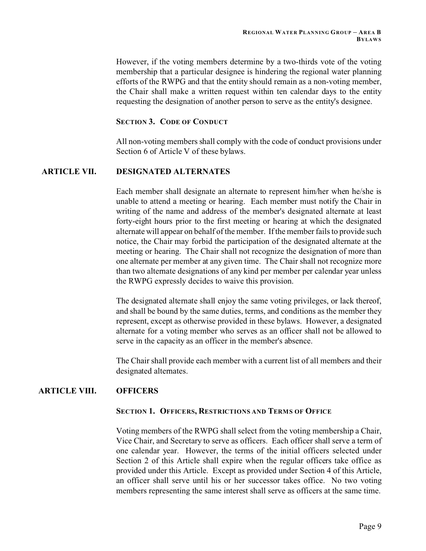However, if the voting members determine by a two-thirds vote of the voting membership that a particular designee is hindering the regional water planning efforts of the RWPG and that the entity should remain as a non-voting member, the Chair shall make a written request within ten calendar days to the entity requesting the designation of another person to serve as the entity's designee.

# **SECTION 3. CODE OF CONDUCT**

All non-voting members shall comply with the code of conduct provisions under Section 6 of Article V of these bylaws.

# **ARTICLE VII. DESIGNATED ALTERNATES**

Each member shall designate an alternate to represent him/her when he/she is unable to attend a meeting or hearing. Each member must notify the Chair in writing of the name and address of the member's designated alternate at least forty-eight hours prior to the first meeting or hearing at which the designated alternate will appear on behalf of the member. If the member fails to provide such notice, the Chair may forbid the participation of the designated alternate at the meeting or hearing. The Chair shall not recognize the designation of more than one alternate per member at any given time. The Chair shall not recognize more than two alternate designations of any kind per member per calendar year unless the RWPG expressly decides to waive this provision.

The designated alternate shall enjoy the same voting privileges, or lack thereof, and shall be bound by the same duties, terms, and conditions as the member they represent, except as otherwise provided in these bylaws. However, a designated alternate for a voting member who serves as an officer shall not be allowed to serve in the capacity as an officer in the member's absence.

The Chair shall provide each member with a current list of all members and their designated alternates.

# **ARTICLE VIII. OFFICERS**

# **SECTION 1. OFFICERS, RESTRICTIONS AND TERMS OF OFFICE**

Voting members of the RWPG shall select from the voting membership a Chair, Vice Chair, and Secretary to serve as officers. Each officer shall serve a term of one calendar year. However, the terms of the initial officers selected under Section 2 of this Article shall expire when the regular officers take office as provided under this Article. Except as provided under Section 4 of this Article, an officer shall serve until his or her successor takes office. No two voting members representing the same interest shall serve as officers at the same time.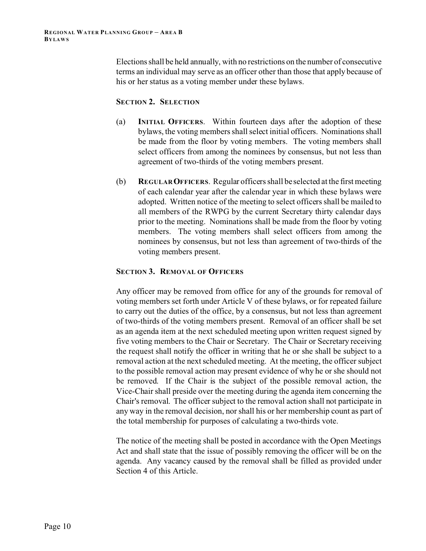Elections shall be held annually, with no restrictions on the number of consecutive terms an individual may serve as an officer other than those that apply because of his or her status as a voting member under these bylaws.

# **SECTION 2. SELECTION**

- (a) **INITIAL OFFICERS**. Within fourteen days after the adoption of these bylaws, the voting members shall select initial officers. Nominations shall be made from the floor by voting members. The voting members shall select officers from among the nominees by consensus, but not less than agreement of two-thirds of the voting members present.
- (b) **REGULAROFFICERS**. Regular officers shall be selected at the first meeting of each calendar year after the calendar year in which these bylaws were adopted. Written notice of the meeting to select officers shall be mailed to all members of the RWPG by the current Secretary thirty calendar days prior to the meeting. Nominations shall be made from the floor by voting members. The voting members shall select officers from among the nominees by consensus, but not less than agreement of two-thirds of the voting members present.

# **SECTION 3. REMOVAL OF OFFICERS**

Any officer may be removed from office for any of the grounds for removal of voting members set forth under Article V of these bylaws, or for repeated failure to carry out the duties of the office, by a consensus, but not less than agreement of two-thirds of the voting members present. Removal of an officer shall be set as an agenda item at the next scheduled meeting upon written request signed by five voting members to the Chair or Secretary. The Chair or Secretary receiving the request shall notify the officer in writing that he or she shall be subject to a removal action at the next scheduled meeting. At the meeting, the officer subject to the possible removal action may present evidence of why he or she should not be removed. If the Chair is the subject of the possible removal action, the Vice-Chair shall preside over the meeting during the agenda item concerning the Chair's removal. The officer subject to the removal action shall not participate in any way in the removal decision, nor shall his or her membership count as part of the total membership for purposes of calculating a two-thirds vote.

The notice of the meeting shall be posted in accordance with the Open Meetings Act and shall state that the issue of possibly removing the officer will be on the agenda. Any vacancy caused by the removal shall be filled as provided under Section 4 of this Article.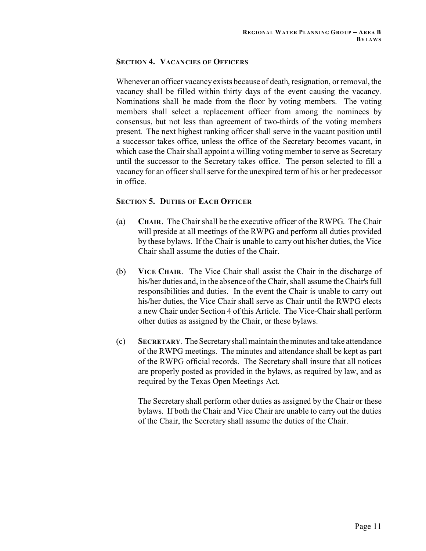# **SECTION 4. VACANCIES OF OFFICERS**

Whenever an officer vacancy exists because of death, resignation, or removal, the vacancy shall be filled within thirty days of the event causing the vacancy. Nominations shall be made from the floor by voting members. The voting members shall select a replacement officer from among the nominees by consensus, but not less than agreement of two-thirds of the voting members present. The next highest ranking officer shall serve in the vacant position until a successor takes office, unless the office of the Secretary becomes vacant, in which case the Chair shall appoint a willing voting member to serve as Secretary until the successor to the Secretary takes office. The person selected to fill a vacancy for an officer shall serve for the unexpired term of his or her predecessor in office.

# **SECTION 5. DUTIES OF EACH OFFICER**

- (a) **CHAIR**. The Chair shall be the executive officer of the RWPG. The Chair will preside at all meetings of the RWPG and perform all duties provided by these bylaws. If the Chair is unable to carry out his/her duties, the Vice Chair shall assume the duties of the Chair.
- (b) **VICE CHAIR**. The Vice Chair shall assist the Chair in the discharge of his/her duties and, in the absence of the Chair, shall assume the Chair's full responsibilities and duties. In the event the Chair is unable to carry out his/her duties, the Vice Chair shall serve as Chair until the RWPG elects a new Chair under Section 4 of this Article. The Vice-Chair shall perform other duties as assigned by the Chair, or these bylaws.
- (c) **SECRETARY**. The Secretary shall maintain theminutes and take attendance of the RWPG meetings. The minutes and attendance shall be kept as part of the RWPG official records. The Secretary shall insure that all notices are properly posted as provided in the bylaws, as required by law, and as required by the Texas Open Meetings Act.

The Secretary shall perform other duties as assigned by the Chair or these bylaws. If both the Chair and Vice Chair are unable to carry out the duties of the Chair, the Secretary shall assume the duties of the Chair.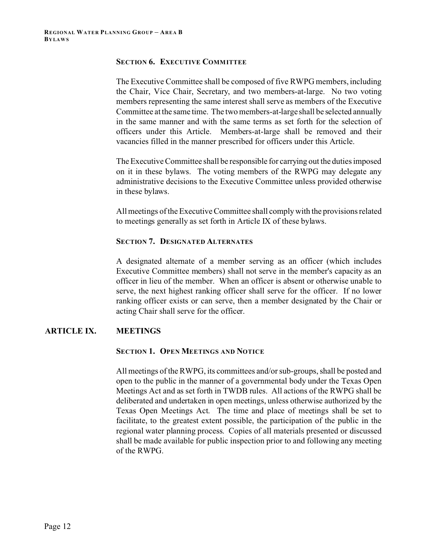### **SECTION 6. EXECUTIVE COMMITTEE**

The Executive Committee shall be composed of five RWPG members, including the Chair, Vice Chair, Secretary, and two members-at-large. No two voting members representing the same interest shall serve as members of the Executive Committee at the same time. The two members-at-large shall be selected annually in the same manner and with the same terms as set forth for the selection of officers under this Article. Members-at-large shall be removed and their vacancies filled in the manner prescribed for officers under this Article.

The Executive Committee shall be responsible for carrying out the duties imposed on it in these bylaws. The voting members of the RWPG may delegate any administrative decisions to the Executive Committee unless provided otherwise in these bylaws.

All meetings of the Executive Committee shall comply with the provisions related to meetings generally as set forth in Article IX of these bylaws.

#### **SECTION 7. DESIGNATED ALTERNATES**

A designated alternate of a member serving as an officer (which includes Executive Committee members) shall not serve in the member's capacity as an officer in lieu of the member. When an officer is absent or otherwise unable to serve, the next highest ranking officer shall serve for the officer. If no lower ranking officer exists or can serve, then a member designated by the Chair or acting Chair shall serve for the officer.

# **ARTICLE IX. MEETINGS**

#### **SECTION 1. OPEN MEETINGS AND NOTICE**

All meetings of the RWPG, its committees and/or sub-groups, shall be posted and open to the public in the manner of a governmental body under the Texas Open Meetings Act and as set forth in TWDB rules. All actions of the RWPG shall be deliberated and undertaken in open meetings, unless otherwise authorized by the Texas Open Meetings Act. The time and place of meetings shall be set to facilitate, to the greatest extent possible, the participation of the public in the regional water planning process. Copies of all materials presented or discussed shall be made available for public inspection prior to and following any meeting of the RWPG.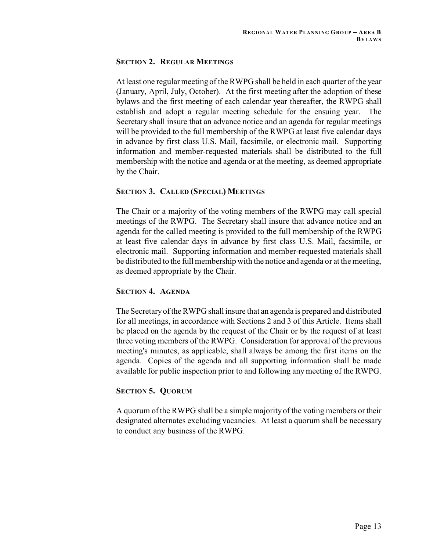# **SECTION 2. REGULAR MEETINGS**

At least one regular meeting of the RWPG shall be held in each quarter of the year (January, April, July, October). At the first meeting after the adoption of these bylaws and the first meeting of each calendar year thereafter, the RWPG shall establish and adopt a regular meeting schedule for the ensuing year. The Secretary shall insure that an advance notice and an agenda for regular meetings will be provided to the full membership of the RWPG at least five calendar days in advance by first class U.S. Mail, facsimile, or electronic mail. Supporting information and member-requested materials shall be distributed to the full membership with the notice and agenda or at the meeting, as deemed appropriate by the Chair.

# **SECTION 3. CALLED (SPECIAL) MEETINGS**

The Chair or a majority of the voting members of the RWPG may call special meetings of the RWPG. The Secretary shall insure that advance notice and an agenda for the called meeting is provided to the full membership of the RWPG at least five calendar days in advance by first class U.S. Mail, facsimile, or electronic mail. Supporting information and member-requested materials shall be distributed to the full membership with the notice and agenda or at the meeting, as deemed appropriate by the Chair.

# **SECTION 4. AGENDA**

The Secretary of the RWPG shall insure that an agenda is prepared and distributed for all meetings, in accordance with Sections 2 and 3 of this Article. Items shall be placed on the agenda by the request of the Chair or by the request of at least three voting members of the RWPG. Consideration for approval of the previous meeting's minutes, as applicable, shall always be among the first items on the agenda. Copies of the agenda and all supporting information shall be made available for public inspection prior to and following any meeting of the RWPG.

# **SECTION 5. QUORUM**

A quorum of the RWPG shall be a simple majority of the voting members or their designated alternates excluding vacancies. At least a quorum shall be necessary to conduct any business of the RWPG.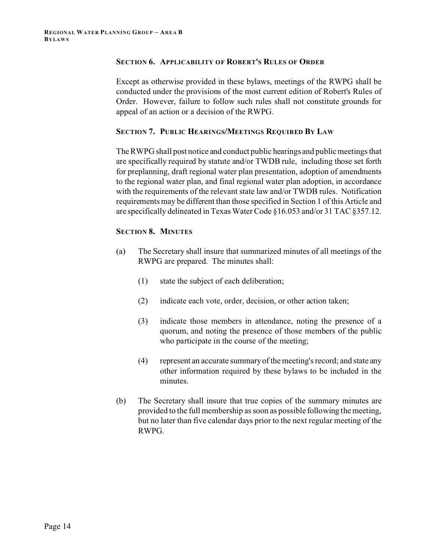#### **SECTION 6. APPLICABILITY OF ROBERT'S RULES OF ORDER**

Except as otherwise provided in these bylaws, meetings of the RWPG shall be conducted under the provisions of the most current edition of Robert's Rules of Order. However, failure to follow such rules shall not constitute grounds for appeal of an action or a decision of the RWPG.

### **SECTION 7. PUBLIC HEARINGS/MEETINGS REQUIRED BY LAW**

The RWPG shall post notice and conduct public hearings and public meetings that are specifically required by statute and/or TWDB rule, including those set forth for preplanning, draft regional water plan presentation, adoption of amendments to the regional water plan, and final regional water plan adoption, in accordance with the requirements of the relevant state law and/or TWDB rules. Notification requirements may be different than those specified in Section 1 of this Article and are specifically delineated in Texas Water Code §16.053 and/or 31 TAC §357.12.

# **SECTION 8. MINUTES**

- (a) The Secretary shall insure that summarized minutes of all meetings of the RWPG are prepared. The minutes shall:
	- (1) state the subject of each deliberation;
	- (2) indicate each vote, order, decision, or other action taken;
	- (3) indicate those members in attendance, noting the presence of a quorum, and noting the presence of those members of the public who participate in the course of the meeting;
	- (4) represent an accurate summary of the meeting's record; and state any other information required by these bylaws to be included in the minutes.
- (b) The Secretary shall insure that true copies of the summary minutes are provided to the full membership as soon as possible following the meeting, but no later than five calendar days prior to the next regular meeting of the RWPG.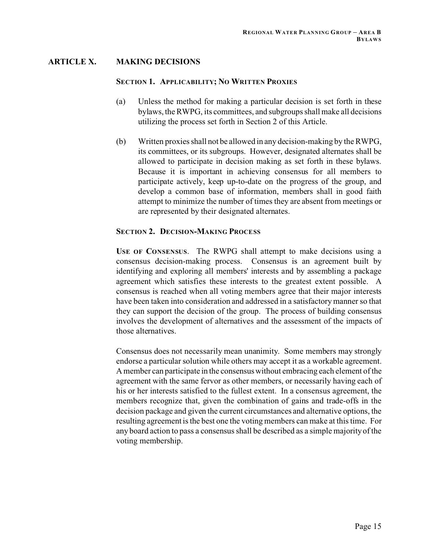# **ARTICLE X. MAKING DECISIONS**

#### **SECTION 1. APPLICABILITY; NO WRITTEN PROXIES**

- (a) Unless the method for making a particular decision is set forth in these bylaws, the RWPG, its committees, and subgroups shall make all decisions utilizing the process set forth in Section 2 of this Article.
- (b) Written proxies shall not be allowed in any decision-making by the RWPG, its committees, or its subgroups. However, designated alternates shall be allowed to participate in decision making as set forth in these bylaws. Because it is important in achieving consensus for all members to participate actively, keep up-to-date on the progress of the group, and develop a common base of information, members shall in good faith attempt to minimize the number of times they are absent from meetings or are represented by their designated alternates.

# **SECTION 2. DECISION-MAKING PROCESS**

**USE OF CONSENSUS**. The RWPG shall attempt to make decisions using a consensus decision-making process. Consensus is an agreement built by identifying and exploring all members' interests and by assembling a package agreement which satisfies these interests to the greatest extent possible. A consensus is reached when all voting members agree that their major interests have been taken into consideration and addressed in a satisfactory manner so that they can support the decision of the group. The process of building consensus involves the development of alternatives and the assessment of the impacts of those alternatives.

Consensus does not necessarily mean unanimity. Some members may strongly endorse a particular solution while others may accept it as a workable agreement. A member can participate in the consensus without embracing each element of the agreement with the same fervor as other members, or necessarily having each of his or her interests satisfied to the fullest extent. In a consensus agreement, the members recognize that, given the combination of gains and trade-offs in the decision package and given the current circumstances and alternative options, the resulting agreement is the best one the voting members can make at this time. For any board action to pass a consensus shall be described as a simple majority of the voting membership.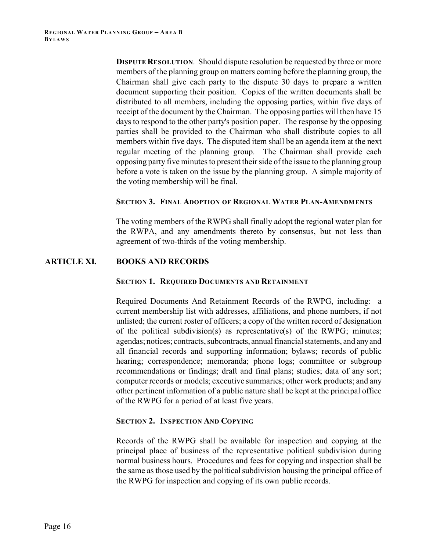**DISPUTE RESOLUTION.** Should dispute resolution be requested by three or more members of the planning group on matters coming before the planning group, the Chairman shall give each party to the dispute 30 days to prepare a written document supporting their position. Copies of the written documents shall be distributed to all members, including the opposing parties, within five days of receipt of the document by the Chairman. The opposing parties will then have 15 days to respond to the other party's position paper. The response by the opposing parties shall be provided to the Chairman who shall distribute copies to all members within five days. The disputed item shall be an agenda item at the next regular meeting of the planning group. The Chairman shall provide each opposing party five minutes to present their side of the issue to the planning group before a vote is taken on the issue by the planning group. A simple majority of the voting membership will be final.

#### **SECTION 3. FINAL ADOPTION OF REGIONAL WATER PLAN-AMENDMENTS**

The voting members of the RWPG shall finally adopt the regional water plan for the RWPA, and any amendments thereto by consensus, but not less than agreement of two-thirds of the voting membership.

#### **ARTICLE XI. BOOKS AND RECORDS**

#### **SECTION 1. REQUIRED DOCUMENTS AND RETAINMENT**

Required Documents And Retainment Records of the RWPG, including: a current membership list with addresses, affiliations, and phone numbers, if not unlisted; the current roster of officers; a copy of the written record of designation of the political subdivision(s) as representative(s) of the RWPG; minutes; agendas; notices; contracts, subcontracts, annual financial statements, and any and all financial records and supporting information; bylaws; records of public hearing; correspondence; memoranda; phone logs; committee or subgroup recommendations or findings; draft and final plans; studies; data of any sort; computer records or models; executive summaries; other work products; and any other pertinent information of a public nature shall be kept at the principal office of the RWPG for a period of at least five years.

# **SECTION 2. INSPECTION AND COPYING**

Records of the RWPG shall be available for inspection and copying at the principal place of business of the representative political subdivision during normal business hours. Procedures and fees for copying and inspection shall be the same as those used by the political subdivision housing the principal office of the RWPG for inspection and copying of its own public records.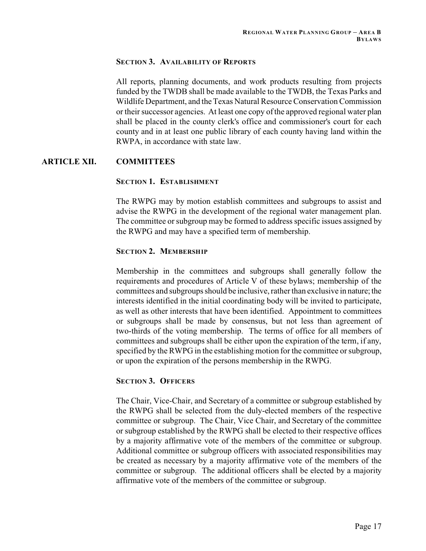# **SECTION 3. AVAILABILITY OF REPORTS**

All reports, planning documents, and work products resulting from projects funded by the TWDB shall be made available to the TWDB, the Texas Parks and Wildlife Department, and the Texas Natural Resource Conservation Commission or their successor agencies. At least one copy of the approved regional water plan shall be placed in the county clerk's office and commissioner's court for each county and in at least one public library of each county having land within the RWPA, in accordance with state law.

# **ARTICLE XII. COMMITTEES**

# **SECTION 1. ESTABLISHMENT**

The RWPG may by motion establish committees and subgroups to assist and advise the RWPG in the development of the regional water management plan. The committee or subgroup may be formed to address specific issues assigned by the RWPG and may have a specified term of membership.

# **SECTION 2. MEMBERSHIP**

Membership in the committees and subgroups shall generally follow the requirements and procedures of Article V of these bylaws; membership of the committees and subgroups should be inclusive, rather than exclusive in nature; the interests identified in the initial coordinating body will be invited to participate, as well as other interests that have been identified. Appointment to committees or subgroups shall be made by consensus, but not less than agreement of two-thirds of the voting membership. The terms of office for all members of committees and subgroups shall be either upon the expiration of the term, if any, specified by the RWPG in the establishing motion for the committee or subgroup, or upon the expiration of the persons membership in the RWPG.

# **SECTION 3. OFFICERS**

The Chair, Vice-Chair, and Secretary of a committee or subgroup established by the RWPG shall be selected from the duly-elected members of the respective committee or subgroup. The Chair, Vice Chair, and Secretary of the committee or subgroup established by the RWPG shall be elected to their respective offices by a majority affirmative vote of the members of the committee or subgroup. Additional committee or subgroup officers with associated responsibilities may be created as necessary by a majority affirmative vote of the members of the committee or subgroup. The additional officers shall be elected by a majority affirmative vote of the members of the committee or subgroup.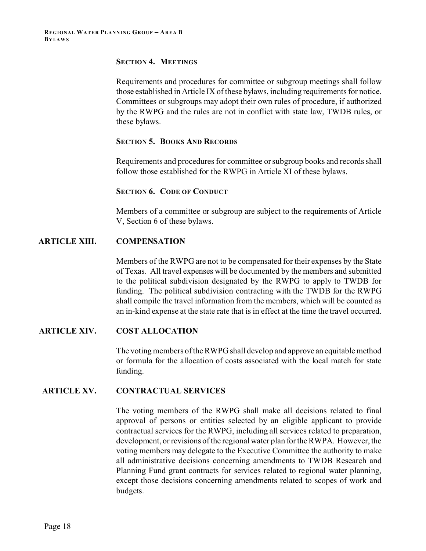# **SECTION 4. MEETINGS**

Requirements and procedures for committee or subgroup meetings shall follow those established in Article IX of these bylaws, including requirements for notice. Committees or subgroups may adopt their own rules of procedure, if authorized by the RWPG and the rules are not in conflict with state law, TWDB rules, or these bylaws.

### **SECTION 5. BOOKS AND RECORDS**

Requirements and procedures for committee or subgroup books and records shall follow those established for the RWPG in Article XI of these bylaws.

#### **SECTION 6. CODE OF CONDUCT**

Members of a committee or subgroup are subject to the requirements of Article V, Section 6 of these bylaws.

# **ARTICLE XIII. COMPENSATION**

Members of the RWPG are not to be compensated for their expenses by the State of Texas. All travel expenses will be documented by the members and submitted to the political subdivision designated by the RWPG to apply to TWDB for funding. The political subdivision contracting with the TWDB for the RWPG shall compile the travel information from the members, which will be counted as an in-kind expense at the state rate that is in effect at the time the travel occurred.

# **ARTICLE XIV. COST ALLOCATION**

The voting members of the RWPG shall develop and approve an equitable method or formula for the allocation of costs associated with the local match for state funding.

# **ARTICLE XV. CONTRACTUAL SERVICES**

The voting members of the RWPG shall make all decisions related to final approval of persons or entities selected by an eligible applicant to provide contractual services for the RWPG, including all services related to preparation, development, or revisions of the regional water plan for the RWPA. However, the voting members may delegate to the Executive Committee the authority to make all administrative decisions concerning amendments to TWDB Research and Planning Fund grant contracts for services related to regional water planning, except those decisions concerning amendments related to scopes of work and budgets.